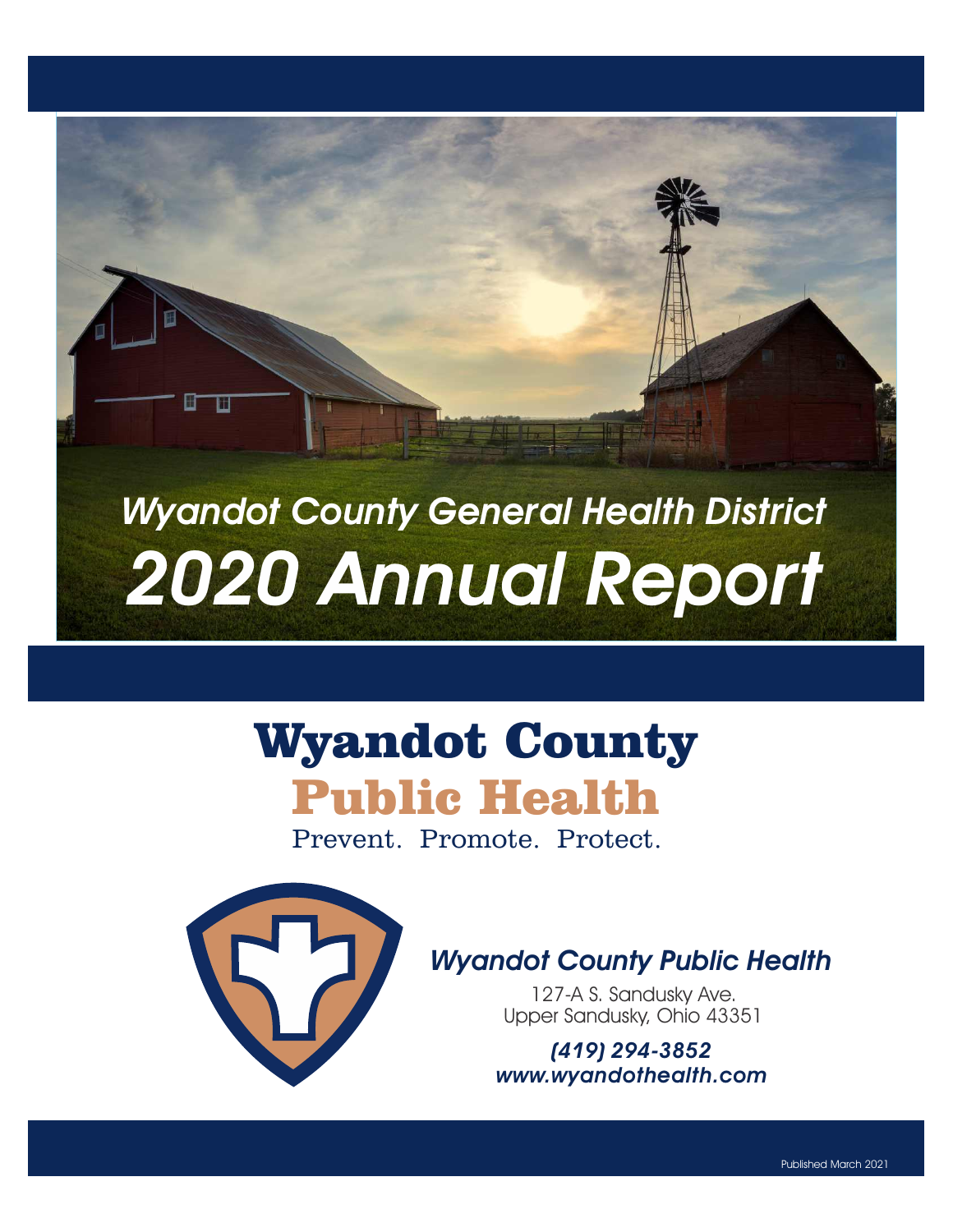# Wyandot County General Health District 2020 Annual Report

# Wyandot County Public Health

Prevent. Promote. Protect.



Ш

Ш

### Wyandot County Public Health

127-A S. Sandusky Ave. Upper Sandusky, Ohio 43351

(419) 294-3852 www.wyandothealth.com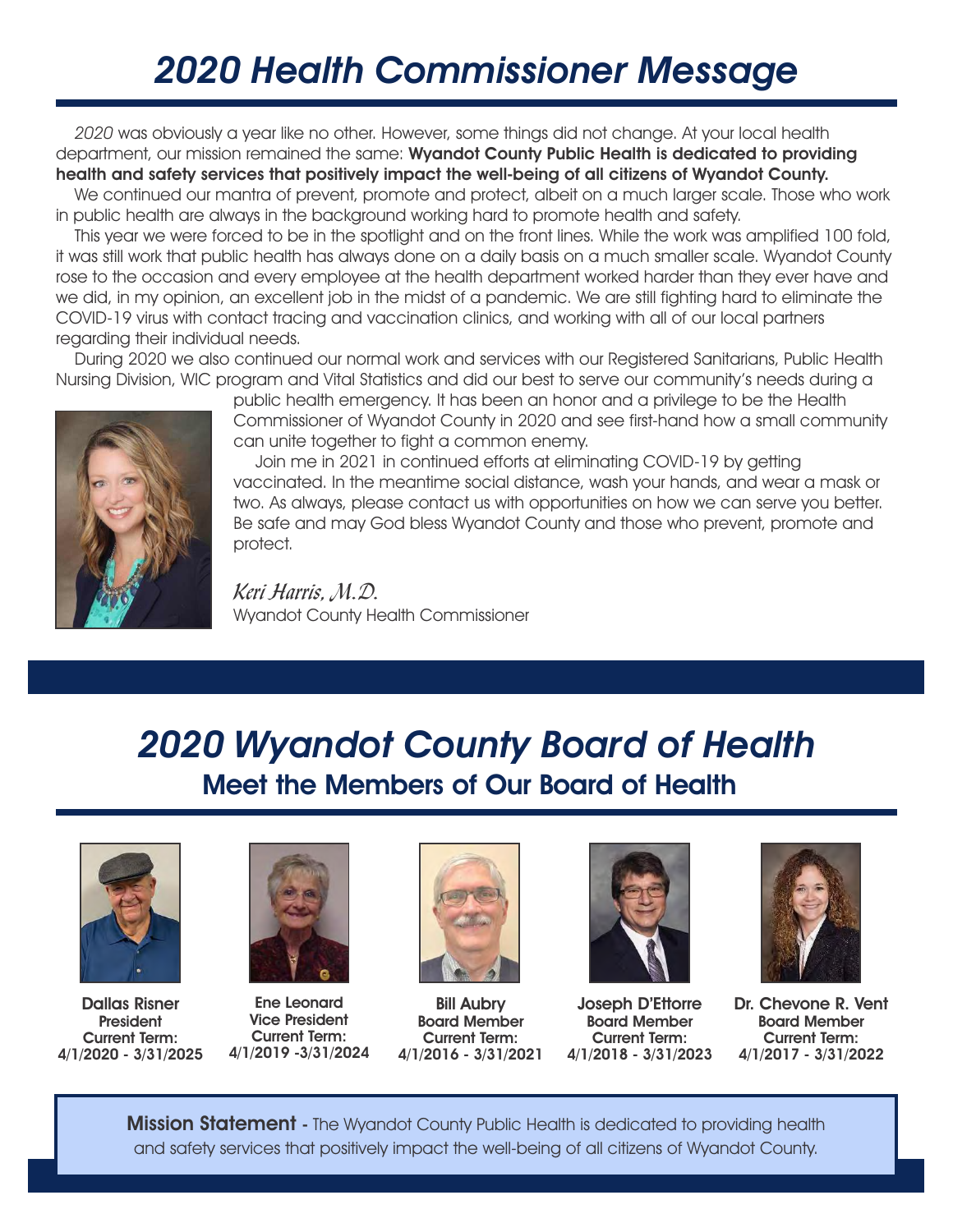# 2020 Health Commissioner Message

 2020 was obviously a year like no other. However, some things did not change. At your local health department, our mission remained the same: Wyandot County Public Health is dedicated to providing health and safety services that positively impact the well-being of all citizens of Wyandot County.

 We continued our mantra of prevent, promote and protect, albeit on a much larger scale. Those who work in public health are always in the background working hard to promote health and safety.

 This year we were forced to be in the spotlight and on the front lines. While the work was amplified 100 fold, it was still work that public health has always done on a daily basis on a much smaller scale. Wyandot County rose to the occasion and every employee at the health department worked harder than they ever have and we did, in my opinion, an excellent job in the midst of a pandemic. We are still fighting hard to eliminate the COVID-19 virus with contact tracing and vaccination clinics, and working with all of our local partners regarding their individual needs.

 During 2020 we also continued our normal work and services with our Registered Sanitarians, Public Health Nursing Division, WIC program and Vital Statistics and did our best to serve our community's needs during a



public health emergency. It has been an honor and a privilege to be the Health Commissioner of Wyandot County in 2020 and see first-hand how a small community can unite together to fight a common enemy.

 Join me in 2021 in continued efforts at eliminating COVID-19 by getting vaccinated. In the meantime social distance, wash your hands, and wear a mask or two. As always, please contact us with opportunities on how we can serve you better. Be safe and may God bless Wyandot County and those who prevent, promote and protect.

*Keri Harris, M.D.* Wyandot County Health Commissioner

### Meet the Members of Our Board of Health 2020 Wyandot County Board of Health



Dallas Risner **President** Current Term: 4/1/2020 - 3/31/2025



Ene Leonard Vice President Current Term: 4/1/2019 -3/31/2024



Bill Aubry Board Member Current Term: 4/1/2016 - 3/31/2021



Joseph D'Ettorre Board Member Current Term: 4/1/2018 - 3/31/2023



Dr. Chevone R. Vent Board Member Current Term: 4/1/2017 - 3/31/2022

**Mission Statement** - The Wyandot County Public Health is dedicated to providing health and safety services that positively impact the well-being of all citizens of Wyandot County.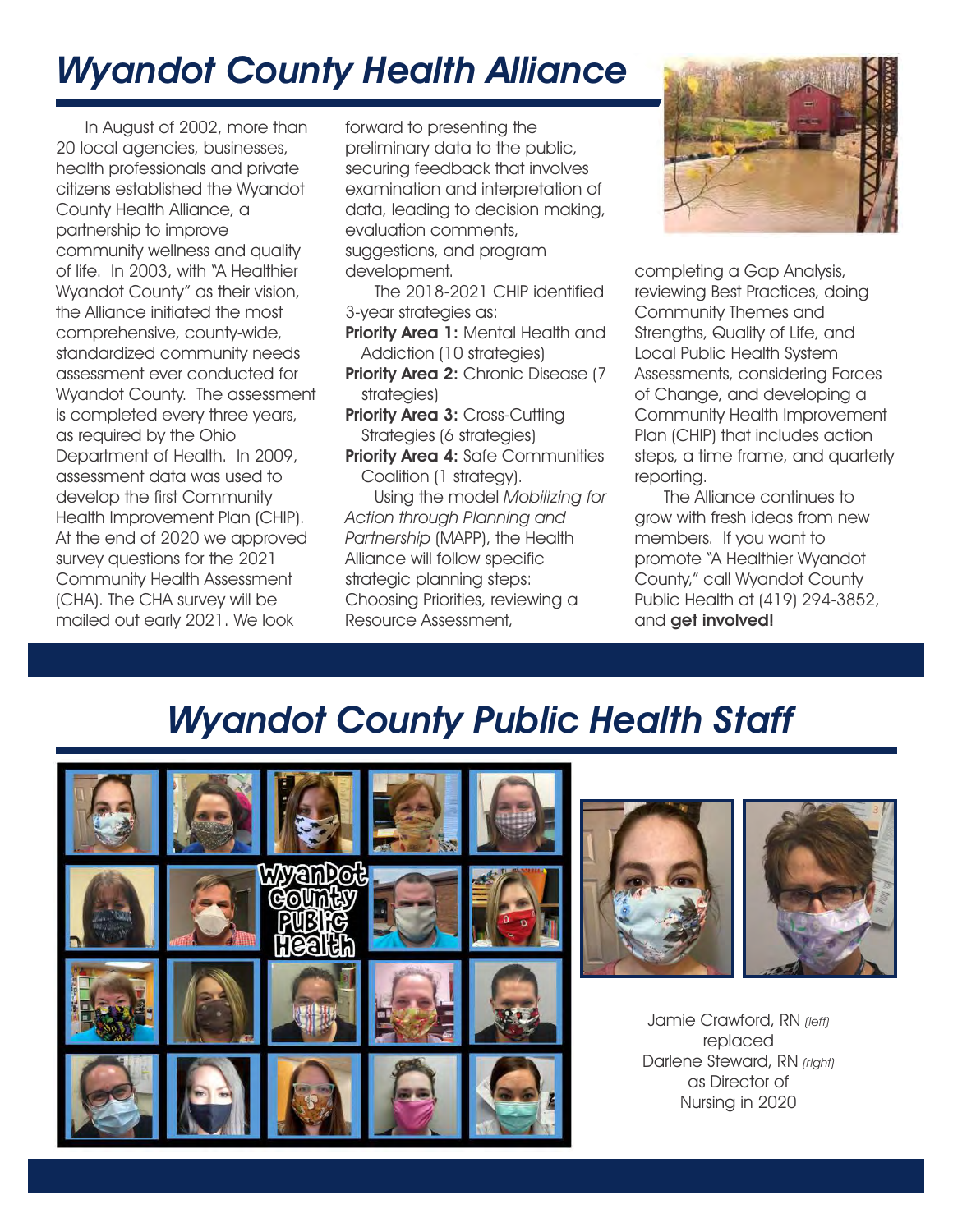# Wyandot County Health Alliance

 In August of 2002, more than 20 local agencies, businesses, health professionals and private citizens established the Wyandot County Health Alliance, a partnership to improve community wellness and quality of life. In 2003, with "A Healthier Wyandot County" as their vision, the Alliance initiated the most comprehensive, county-wide, standardized community needs assessment ever conducted for Wyandot County. The assessment is completed every three years, as required by the Ohio Department of Health. In 2009, assessment data was used to develop the first Community Health Improvement Plan (CHIP). At the end of 2020 we approved survey questions for the 2021 Community Health Assessment (CHA). The CHA survey will be mailed out early 2021. We look

forward to presenting the preliminary data to the public, securing feedback that involves examination and interpretation of data, leading to decision making, evaluation comments, suggestions, and program development.

 The 2018-2021 CHIP identified 3-year strategies as:

- Priority Area 1: Mental Health and Addiction (10 strategies)
- **Priority Area 2: Chronic Disease (7)** strategies)
- Priority Area 3: Cross-Cutting Strategies (6 strategies)
- Priority Area 4: Safe Communities Coalition (1 strategy).

 Using the model Mobilizing for Action through Planning and Partnership (MAPP), the Health Alliance will follow specific strategic planning steps: Choosing Priorities, reviewing a Resource Assessment,



completing a Gap Analysis, reviewing Best Practices, doing Community Themes and Strengths, Quality of Life, and Local Public Health System Assessments, considering Forces of Change, and developing a Community Health Improvement Plan (CHIP) that includes action steps, a time frame, and quarterly reporting.

 The Alliance continues to grow with fresh ideas from new members. If you want to promote "A Healthier Wyandot County," call Wyandot County Public Health at (419) 294-3852, and get involved!

# Wyandot County Public Health Staff





Jamie Crawford, RN (left) replaced Darlene Steward, RN (right) as Director of Nursing in 2020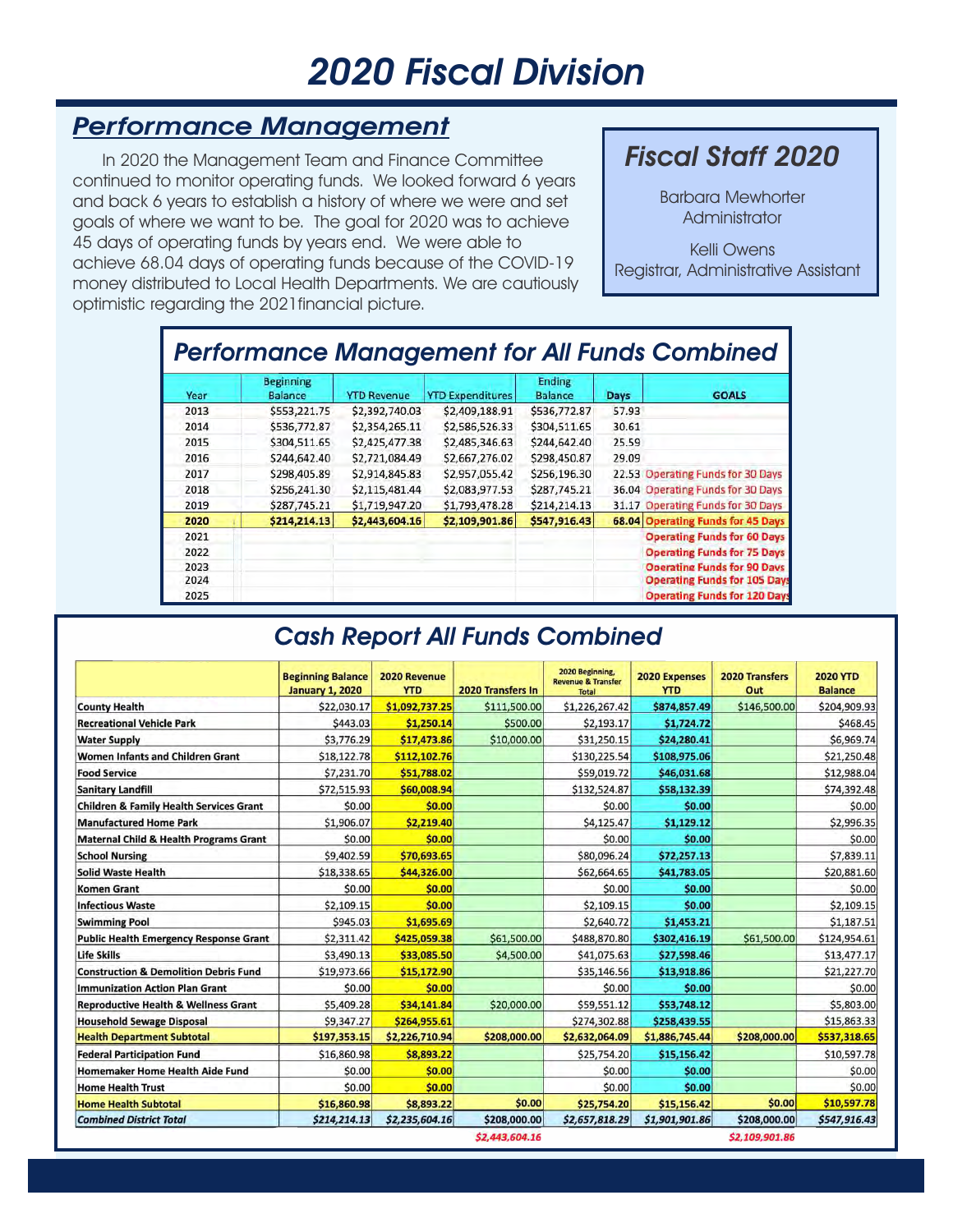# 2020 Fiscal Division

#### Performance Management

 In 2020 the Management Team and Finance Committee continued to monitor operating funds. We looked forward 6 years and back 6 years to establish a history of where we were and set goals of where we want to be. The goal for 2020 was to achieve 45 days of operating funds by years end. We were able to achieve 68.04 days of operating funds because of the COVID-19 money distributed to Local Health Departments. We are cautiously optimistic regarding the 2021financial picture.

#### Fiscal Staff 2020

Administrator Barbara Mewhorter

Registrar, Administrative Assistant Kelli Owens

|      |                                    |                    |                         |                                 |             | <b>Performance Management for All Funds Combined</b> |
|------|------------------------------------|--------------------|-------------------------|---------------------------------|-------------|------------------------------------------------------|
| Year | <b>Beginning</b><br><b>Balance</b> | <b>YTD Revenue</b> | <b>YTD Expenditures</b> | <b>Ending</b><br><b>Balance</b> | <b>Days</b> | <b>GOALS</b>                                         |
| 2013 | \$553,221.75                       | \$2,392,740.03     | \$2,409,188.91          | \$536,772.87                    | 57.93       |                                                      |
| 2014 | \$536,772.87                       | \$2,354,265.11     | \$2,586,526.33          | \$304,511.65                    | 30.61       |                                                      |
| 2015 | \$304,511.65                       | \$2,425,477.38     | \$2,485,346.63          | \$244,642.40                    | 25.59       |                                                      |
| 2016 | \$244,642.40                       | \$2,721,084.49     | \$2,667,276.02          | \$298,450.87                    | 29.09       |                                                      |
| 2017 | \$298,405.89                       | \$2,914,845.83     | \$2,957,055.42          | \$256,196.30                    |             | 22.53 Operating Funds for 30 Days                    |
| 2018 | \$256,241.30                       | \$2,115,481.44     | \$2,083,977.53          | \$287,745.21                    |             | 36.04 Operating Funds for 30 Days                    |
| 2019 | \$287,745.21                       | \$1,719,947.20     | \$1,793,478.28          | \$214,214.13                    |             | 31.17 Operating Funds for 30 Days                    |
| 2020 | \$214,214.13                       | \$2,443,604.16     | \$2,109,901.86          | \$547,916.43                    |             | 68.04 Operating Funds for 45 Days                    |
| 2021 |                                    |                    |                         |                                 |             | <b>Operating Funds for 60 Days</b>                   |
| 2022 |                                    |                    |                         |                                 |             | <b>Operating Funds for 75 Days</b>                   |
| 2023 |                                    |                    |                         |                                 |             | <b>Operating Funds for 90 Days</b>                   |
| 2024 |                                    |                    |                         |                                 |             | <b>Operating Funds for 105 Days</b>                  |
| 2025 |                                    |                    |                         |                                 |             | <b>Operating Funds for 120 Days</b>                  |

#### Cash Report All Funds Combined

|                                                    | <b>Beginning Balance</b><br><b>January 1, 2020</b> | 2020 Revenue<br><b>YTD</b> | 2020 Transfers In | 2020 Beginning,<br><b>Revenue &amp; Transfer</b><br><b>Total</b> | <b>2020 Expenses</b><br><b>YTD</b> | <b>2020 Transfers</b><br>Out | <b>2020 YTD</b><br><b>Balance</b> |
|----------------------------------------------------|----------------------------------------------------|----------------------------|-------------------|------------------------------------------------------------------|------------------------------------|------------------------------|-----------------------------------|
| <b>County Health</b>                               | \$22,030.17                                        | \$1,092,737.25             | \$111,500.00      | \$1,226,267.42                                                   | \$874,857.49                       | \$146,500.00                 | \$204,909.93                      |
| <b>Recreational Vehicle Park</b>                   | \$443.03                                           | \$1,250.14                 | \$500.00          | \$2,193.17                                                       | \$1,724.72                         |                              | \$468.45                          |
| <b>Water Supply</b>                                | \$3,776.29                                         | \$17,473.86                | \$10,000.00       | \$31,250.15                                                      | \$24,280.41                        |                              | \$6,969.74                        |
| Women Infants and Children Grant                   | \$18,122.78                                        | \$112,102.76               |                   | \$130,225.54                                                     | \$108,975.06                       |                              | \$21,250.48                       |
| <b>Food Service</b>                                | \$7,231.70                                         | \$51,788.02                |                   | \$59,019.72                                                      | \$46,031.68                        |                              | \$12,988.04                       |
| <b>Sanitary Landfill</b>                           | \$72,515.93                                        | \$60,008.94                |                   | \$132,524.87                                                     | \$58,132.39                        |                              | \$74,392.48                       |
| <b>Children &amp; Family Health Services Grant</b> | \$0.00                                             | \$0.00                     |                   | \$0.00                                                           | \$0.00                             |                              | \$0.00                            |
| <b>Manufactured Home Park</b>                      | \$1,906.07                                         | \$2,219.40                 |                   | \$4,125.47                                                       | \$1,129.12                         |                              | \$2,996.35                        |
| <b>Maternal Child &amp; Health Programs Grant</b>  | \$0.00                                             | \$0.00                     |                   | \$0.00                                                           | \$0.00                             |                              | \$0.00                            |
| <b>School Nursing</b>                              | \$9,402.59                                         | \$70,693.65                |                   | \$80,096.24                                                      | \$72,257.13                        |                              | \$7,839.11                        |
| <b>Solid Waste Health</b>                          | \$18,338.65                                        | \$44,326.00                |                   | \$62,664.65                                                      | \$41,783.05                        |                              | \$20,881.60                       |
| <b>Komen Grant</b>                                 | \$0.00                                             | \$0.00                     |                   | \$0.00                                                           | \$0.00                             |                              | \$0.00                            |
| <b>Infectious Waste</b>                            | \$2,109.15                                         | \$0.00                     |                   | \$2,109.15                                                       | \$0.00                             |                              | \$2,109.15                        |
| <b>Swimming Pool</b>                               | \$945.03                                           | \$1,695.69                 |                   | \$2,640.72                                                       | \$1,453.21                         |                              | \$1,187.51                        |
| <b>Public Health Emergency Response Grant</b>      | \$2,311.42                                         | \$425,059.38               | \$61,500.00       | \$488,870.80                                                     | \$302,416.19                       | \$61,500.00                  | \$124,954.61                      |
| <b>Life Skills</b>                                 | \$3,490.13                                         | \$33,085.50                | \$4,500.00        | \$41,075.63                                                      | \$27,598.46                        |                              | \$13,477.17                       |
| <b>Construction &amp; Demolition Debris Fund</b>   | \$19,973.66                                        | \$15,172.90                |                   | \$35,146.56                                                      | \$13,918.86                        |                              | \$21,227.70                       |
| <b>Immunization Action Plan Grant</b>              | \$0.00                                             | \$0.00                     |                   | \$0.00                                                           | \$0.00                             |                              | \$0.00                            |
| <b>Reproductive Health &amp; Wellness Grant</b>    | \$5,409.28                                         | \$34,141.84                | \$20,000.00       | \$59,551.12                                                      | \$53,748.12                        |                              | \$5,803.00                        |
| <b>Household Sewage Disposal</b>                   | \$9,347.27                                         | \$264,955.61               |                   | \$274,302.88                                                     | \$258,439.55                       |                              | \$15,863.33                       |
| <b>Health Department Subtotal</b>                  | \$197,353.15                                       | \$2,226,710.94             | \$208,000.00      | \$2,632,064.09                                                   | \$1,886,745.44                     | \$208,000.00                 | \$537,318.65                      |
| <b>Federal Participation Fund</b>                  | \$16,860.98                                        | \$8,893.22                 |                   | \$25,754.20                                                      | \$15,156.42                        |                              | \$10,597.78                       |
| <b>Homemaker Home Health Aide Fund</b>             | \$0.00                                             | \$0.00                     |                   | \$0.00                                                           | \$0.00                             |                              | \$0.00                            |
| <b>Home Health Trust</b>                           | \$0.00                                             | \$0.00                     |                   | \$0.00                                                           | \$0.00                             |                              | \$0.00                            |
| <b>Home Health Subtotal</b>                        | \$16,860.98                                        | \$8,893.22                 | \$0.00            | \$25,754.20                                                      | \$15,156.42                        | \$0.00                       | \$10,597.78                       |
| <b>Combined District Total</b>                     | \$214,214.13                                       | \$2,235,604.16             | \$208,000.00      | \$2,657,818.29                                                   | \$1,901,901.86                     | \$208,000.00                 | \$547,916.43                      |
|                                                    |                                                    |                            | \$2,443,604.16    |                                                                  |                                    | \$2,109,901.86               |                                   |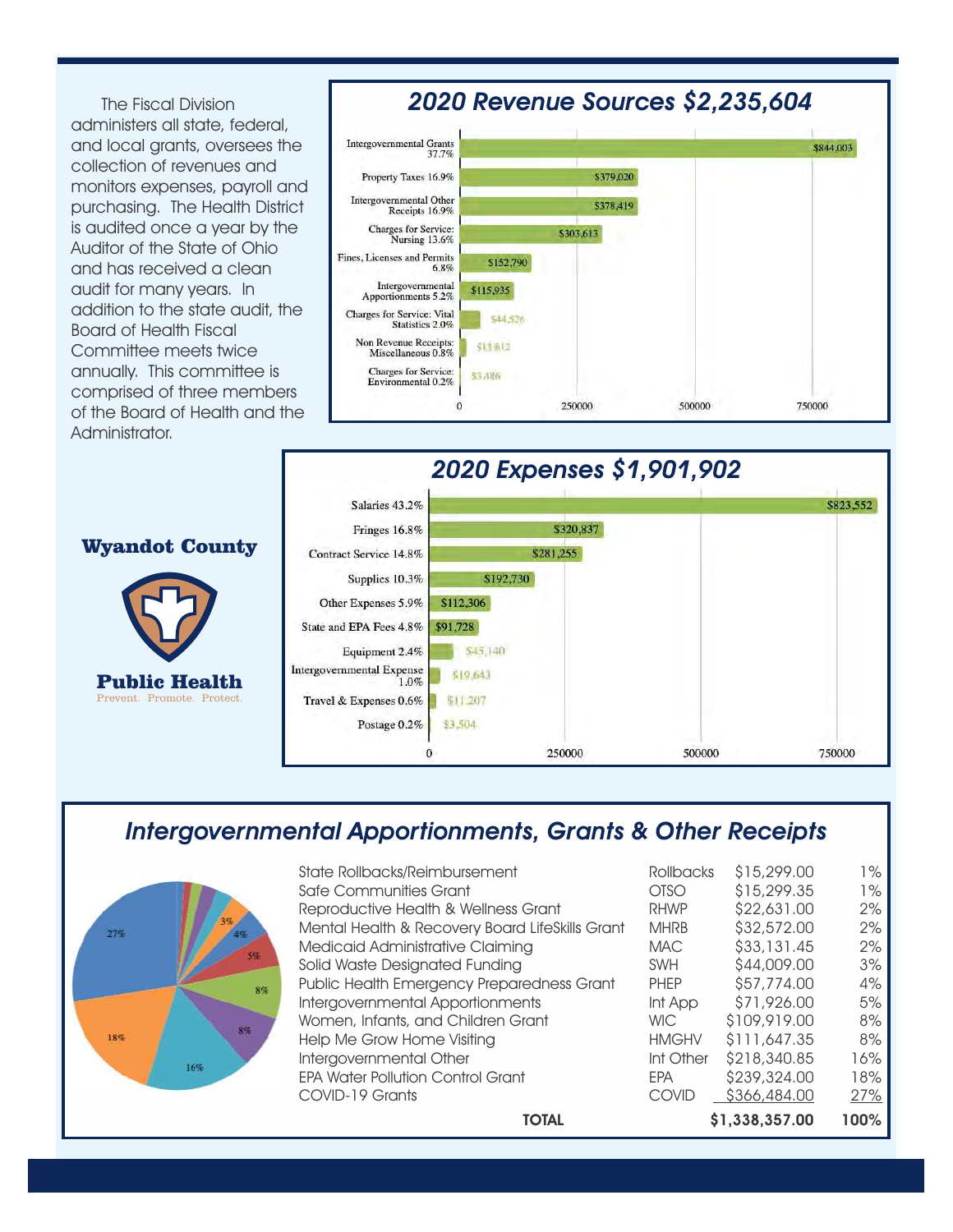The Fiscal Division administers all state, federal, and local grants, oversees the collection of revenues and monitors expenses, payroll and purchasing. The Health District is audited once a year by the Auditor of the State of Ohio and has received a clean audit for many years. In addition to the state audit, the Board of Health Fiscal Committee meets twice annually. This committee is comprised of three members of the Board of Health and the Administrator.

#### 2020 Revenue Sources \$2,235,604





#### Intergovernmental Apportionments, Grants & Other Receipts



| <b>TOTAL</b>                                    |              | \$1,338,357.00 | 100%       |
|-------------------------------------------------|--------------|----------------|------------|
| COVID-19 Grants                                 | <b>COVID</b> | \$366,484.00   | <u>27%</u> |
| <b>EPA Water Pollution Control Grant</b>        | <b>EPA</b>   | \$239,324.00   | 18%        |
| Intergovernmental Other                         | Int Other    | \$218,340.85   | 16%        |
| Help Me Grow Home Visiting                      | <b>HMGHV</b> | \$111,647,35   | 8%         |
| Women, Infants, and Children Grant              | <b>WIC</b>   | \$109,919,00   | 8%         |
| Intergovernmental Apportionments                | Int App      | \$71,926.00    | 5%         |
| Public Health Emergency Preparedness Grant      | <b>PHEP</b>  | \$57,774.00    | 4%         |
| Solid Waste Designated Funding                  | <b>SWH</b>   | \$44,009.00    | 3%         |
| Medicaid Administrative Claiming                | <b>MAC</b>   | \$33,131.45    | 2%         |
| Mental Health & Recovery Board LifeSkills Grant | <b>MHRB</b>  | \$32,572.00    | 2%         |
| Reproductive Health & Wellness Grant            | <b>RHWP</b>  | \$22,631.00    | 2%         |
| Safe Communities Grant                          | <b>OTSO</b>  | \$15,299.35    | $1\%$      |
| State Rollbacks/Reimbursement                   | Rollbacks    | \$15,299.00    | $1\%$      |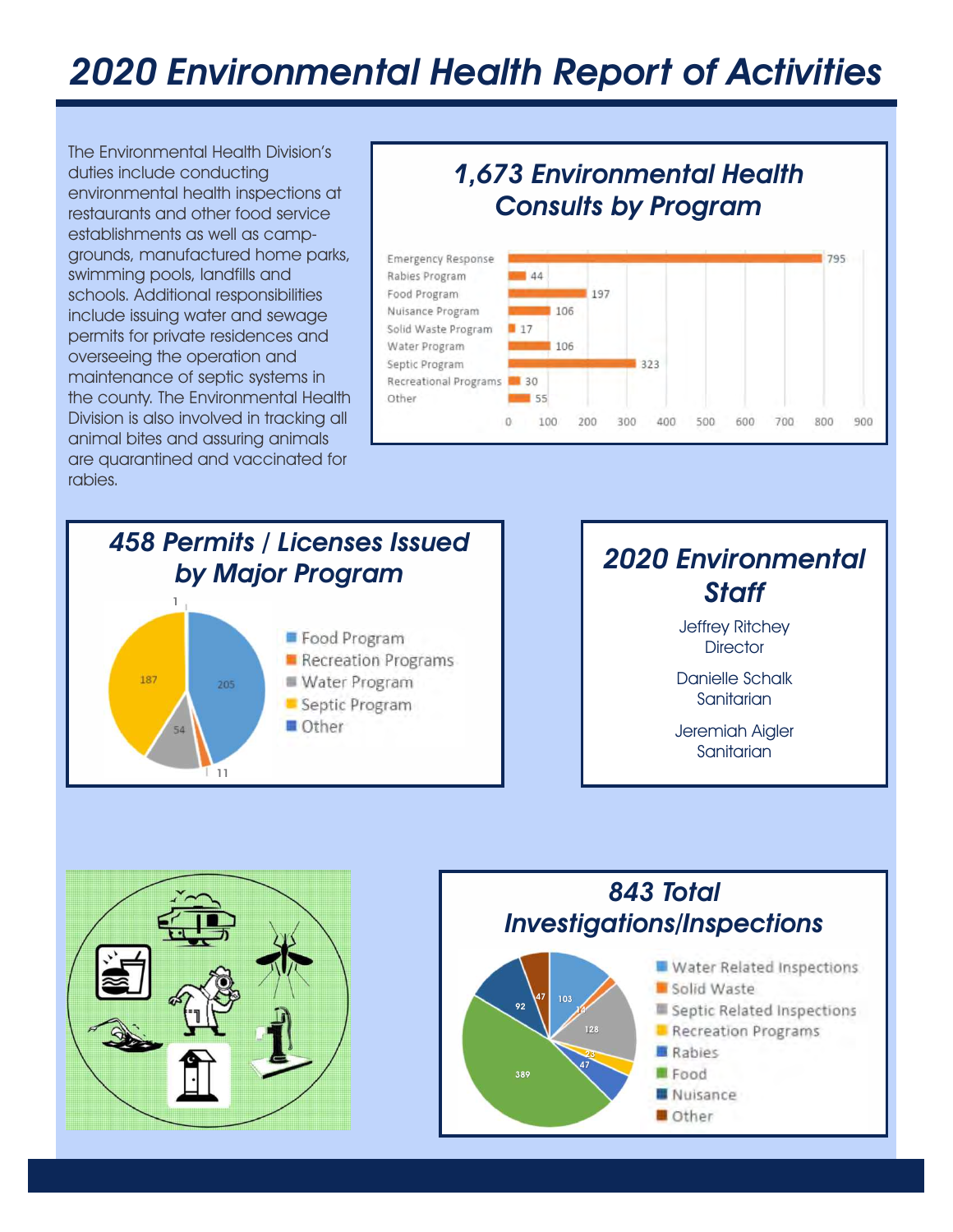# 2020 Environmental Health Report of Activities

The Environmental Health Division's duties include conducting environmental health inspections at restaurants and other food service establishments as well as campgrounds, manufactured home parks, swimming pools, landfills and schools. Additional responsibilities include issuing water and sewage permits for private residences and overseeing the operation and maintenance of septic systems in the county. The Environmental Health Division is also involved in tracking all animal bites and assuring animals are quarantined and vaccinated for rabies.

### 1,673 Environmental Health Consults by Program





#### 2020 Environmental **Staff**

**Director** Jeffrey Ritchey

Danielle Schalk **Sanitarian** 

Jeremiah Aigler **Sanitarian** 



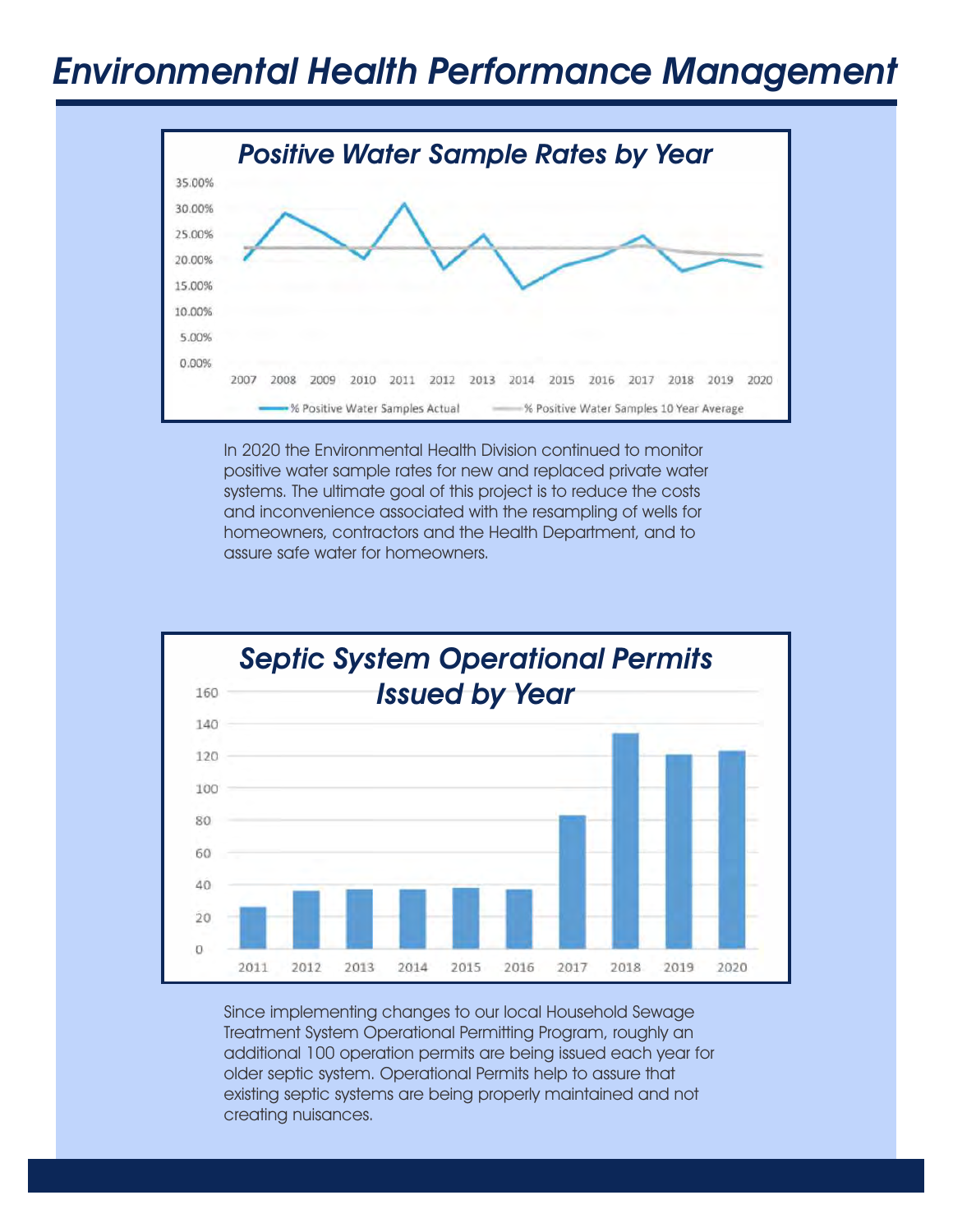### Environmental Health Performance Management



In 2020 the Environmental Health Division continued to monitor positive water sample rates for new and replaced private water systems. The ultimate goal of this project is to reduce the costs and inconvenience associated with the resampling of wells for homeowners, contractors and the Health Department, and to assure safe water for homeowners.



Since implementing changes to our local Household Sewage Treatment System Operational Permitting Program, roughly an additional 100 operation permits are being issued each year for older septic system. Operational Permits help to assure that existing septic systems are being properly maintained and not creating nuisances.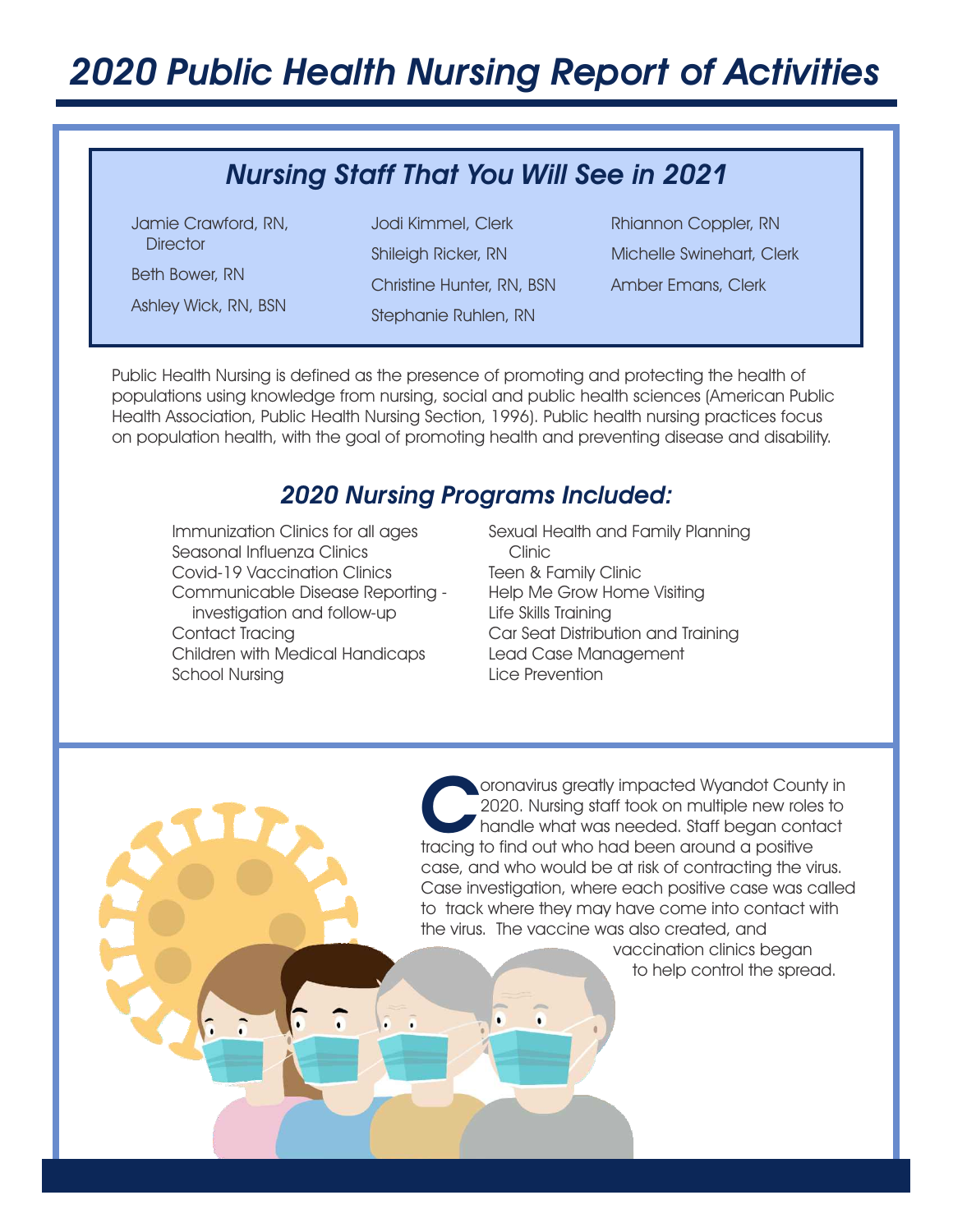# 2020 Public Health Nursing Report of Activities

### Nursing Staff That You Will See in 2021

Jamie Crawford, RN, **Director** 

Ashley Wick, RN, BSN

Beth Bower, RN<br>Christine Hunter, RN, BSN Stephanie Ruhlen, RN Jodi Kimmel, Clerk

Amber Emans, Clerk Shileigh Ricker, RN Michelle Swinehart, Clerk Rhiannon Coppler, RN

Public Health Nursing is defined as the presence of promoting and protecting the health of populations using knowledge from nursing, social and public health sciences (American Public Health Association, Public Health Nursing Section, 1996). Public health nursing practices focus on population health, with the goal of promoting health and preventing disease and disability.

#### 2020 Nursing Programs Included:

Communicable Disease Reporting investigation and follow-up School Nursing Seasonal Influenza Clinics Covid-19 Vaccination Clinics Children with Medical Handicaps Lead Case Management Immunization Clinics for all ages Contact Tracing

Car Seat Distribution and Training Sexual Health and Family Planning Clinic Lice Prevention Help Me Grow Home Visiting Teen & Family Clinic Life Skills Training

Coronavirus greatly impacted Wyandot Count<br>2020. Nursing staff took on multiple new role<br>handle what was needed. Staff began contr<br>tracing to find out who had been around a positive oronavirus greatly impacted Wyandot County in 2020. Nursing staff took on multiple new roles to handle what was needed. Staff began contact case, and who would be at risk of contracting the virus. Case investigation, where each positive case was called to track where they may have come into contact with the virus. The vaccine was also created, and

 vaccination clinics began to help control the spread.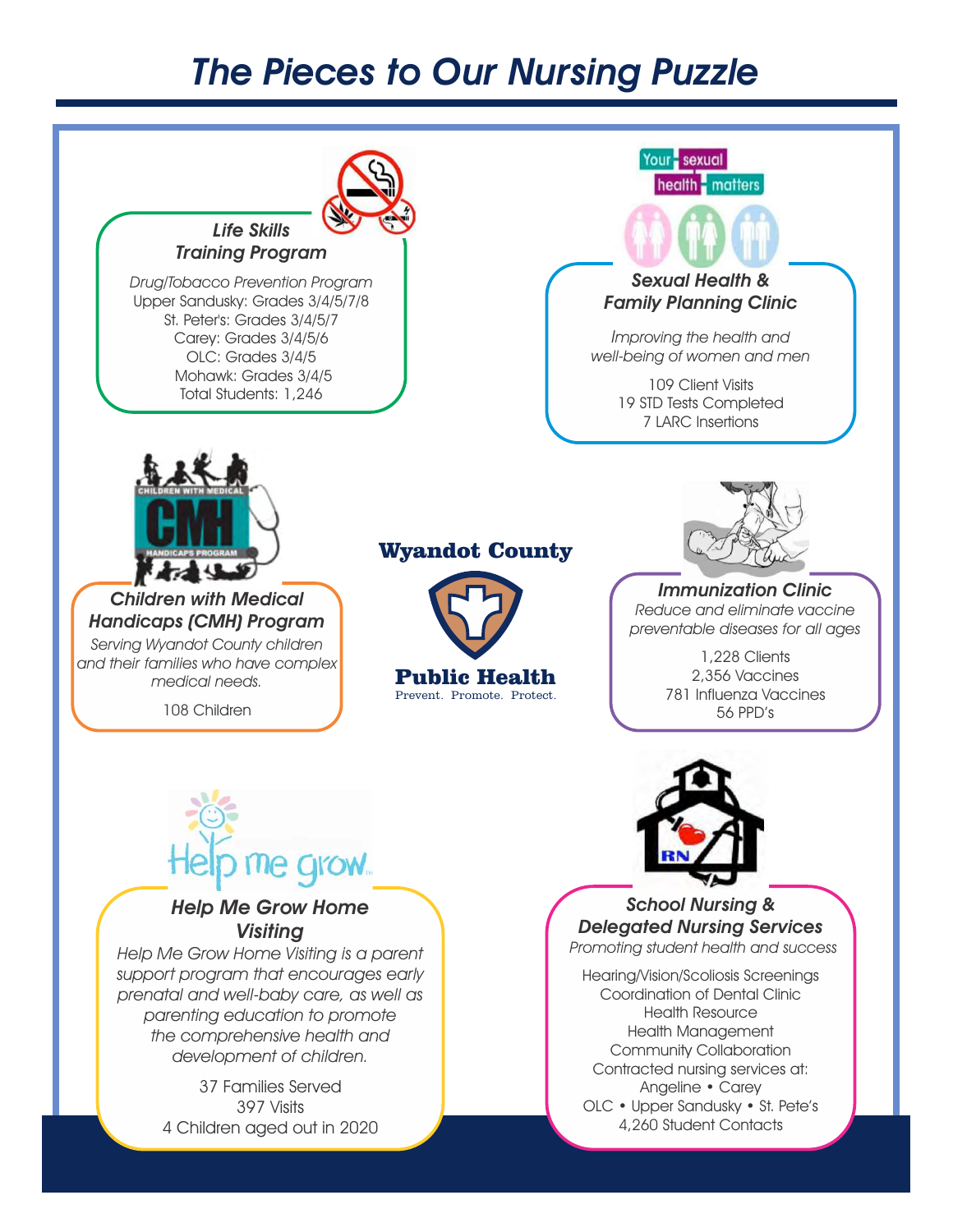### The Pieces to Our Nursing Puzzle



4 Children aged out in 2020 397 Visits

OLC • Upper Sandusky • St. Pete's 4,260 Student Contacts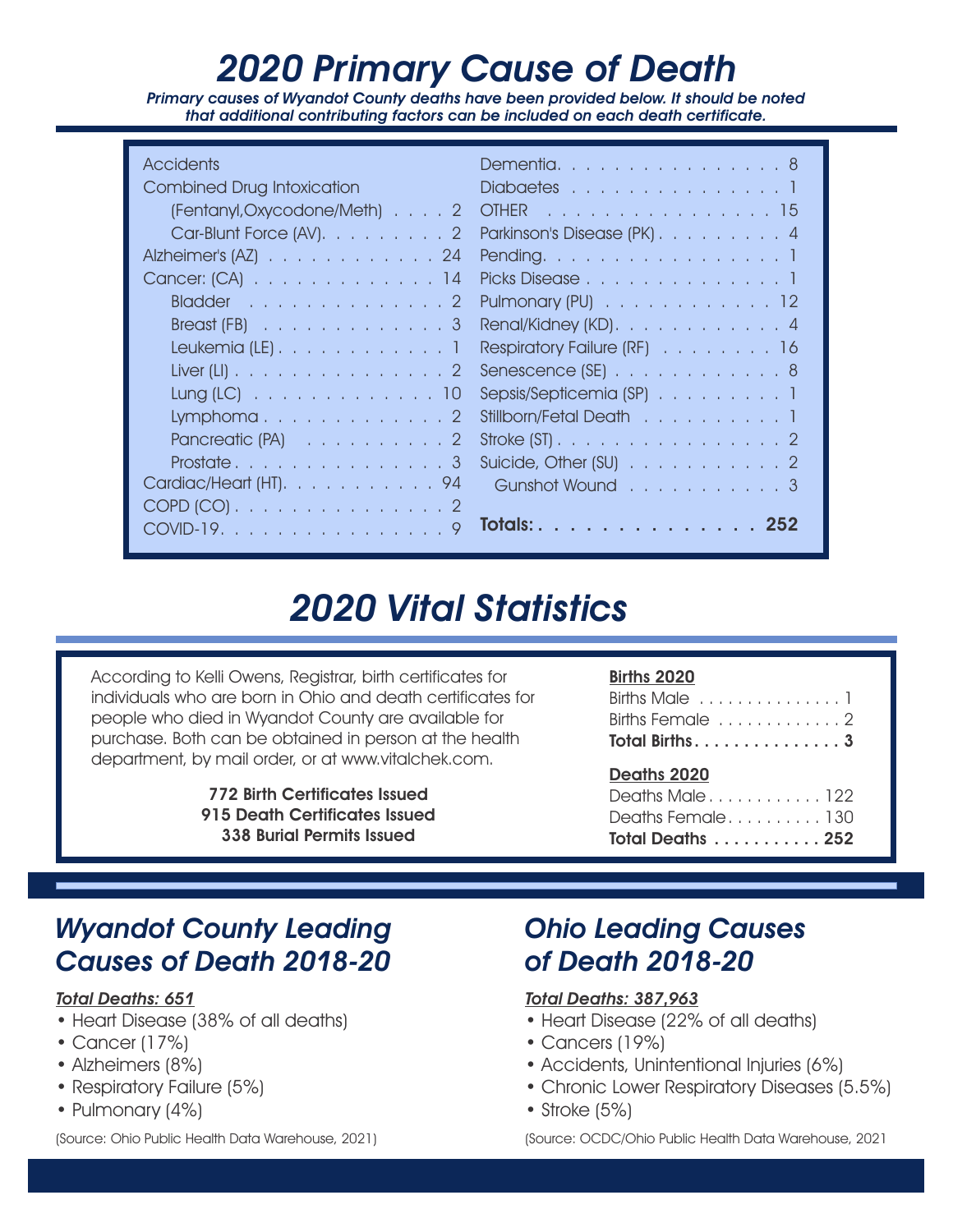# 2020 Primary Cause of Death

Primary causes of Wyandot County deaths have been provided below. It should be noted that additional contributing factors can be included on each death certificate.

| <b>Accidents</b>                                 | Dementia8                                                          |
|--------------------------------------------------|--------------------------------------------------------------------|
| <b>Combined Drug Intoxication</b><br><u>an a</u> | Diabaetes 1                                                        |
| (Fentanyl, Oxycodone/Meth) 2                     | . 15<br><b>OTHER</b>                                               |
| Car-Blunt Force (AV). 2                          | Parkinson's Disease (PK) 4                                         |
| Alzheimer's $(AZ)$ 24                            | Pending. 1                                                         |
| Cancer: (CA) 14                                  | Picks Disease                                                      |
| Bladder 2                                        | Pulmonary $(PU)$ 12                                                |
| Breast $(FB)$ 3                                  | Renal/Kidney (KD). $\ldots$ $\ldots$ $\ldots$ $\ldots$ $\ldots$ 4  |
| Leukemia (LE). $\ldots$ 1                        | Respiratory Failure (RF) 16                                        |
| Liver (LI) 2                                     | Senescence $(SE)$ 8                                                |
| $Lung (LC)$ 10                                   | Sepsis/Septicemia (SP) 1                                           |
| Lymphoma                                         | Stillborn/Fetal Death 1                                            |
| Pancreatic $(PA)$ 2                              | Stroke $(ST)$ . 2                                                  |
|                                                  | Suicide, Other (SU) $\ldots$ $\ldots$ $\ldots$ $\ldots$ $\ldots$ 2 |
| Cardiac/Heart (HT). 94                           | Gunshot Wound 3                                                    |
| COPD (CO) 2                                      |                                                                    |
| COVID-19. 9                                      | Totals: 252                                                        |

### 2020 Vital Statistics

According to Kelli Owens, Registrar, birth certificates for individuals who are born in Ohio and death certificates for people who died in Wyandot County are available for purchase. Both can be obtained in person at the health department, by mail order, or at www.vitalchek.com.

> 915 Death Certificates Issued 338 Burial Permits Issued 772 Birth Certificates Issued

#### Births 2020

| Births Female 2  |  |
|------------------|--|
| Total Births3    |  |
|                  |  |
| Deaths 2020      |  |
| Deaths Male122   |  |
| Deaths Female130 |  |

### Wyandot County Leading Causes of Death 2018-20

#### Total Deaths: 651

- Heart Disease (38% of all deaths)
- Cancer (17%)
- Alzheimers (8%)
- Respiratory Failure (5%)
- Pulmonary (4%)

(Source: Ohio Public Health Data Warehouse, 2021)

### Ohio Leading Causes of Death 2018-20

#### Total Deaths: 387,963

- Heart Disease (22% of all deaths)
- Cancers (19%)
- Accidents, Unintentional Injuries (6%)
- Chronic Lower Respiratory Diseases (5.5%)
- Stroke (5%)

(Source: OCDC/Ohio Public Health Data Warehouse, 2021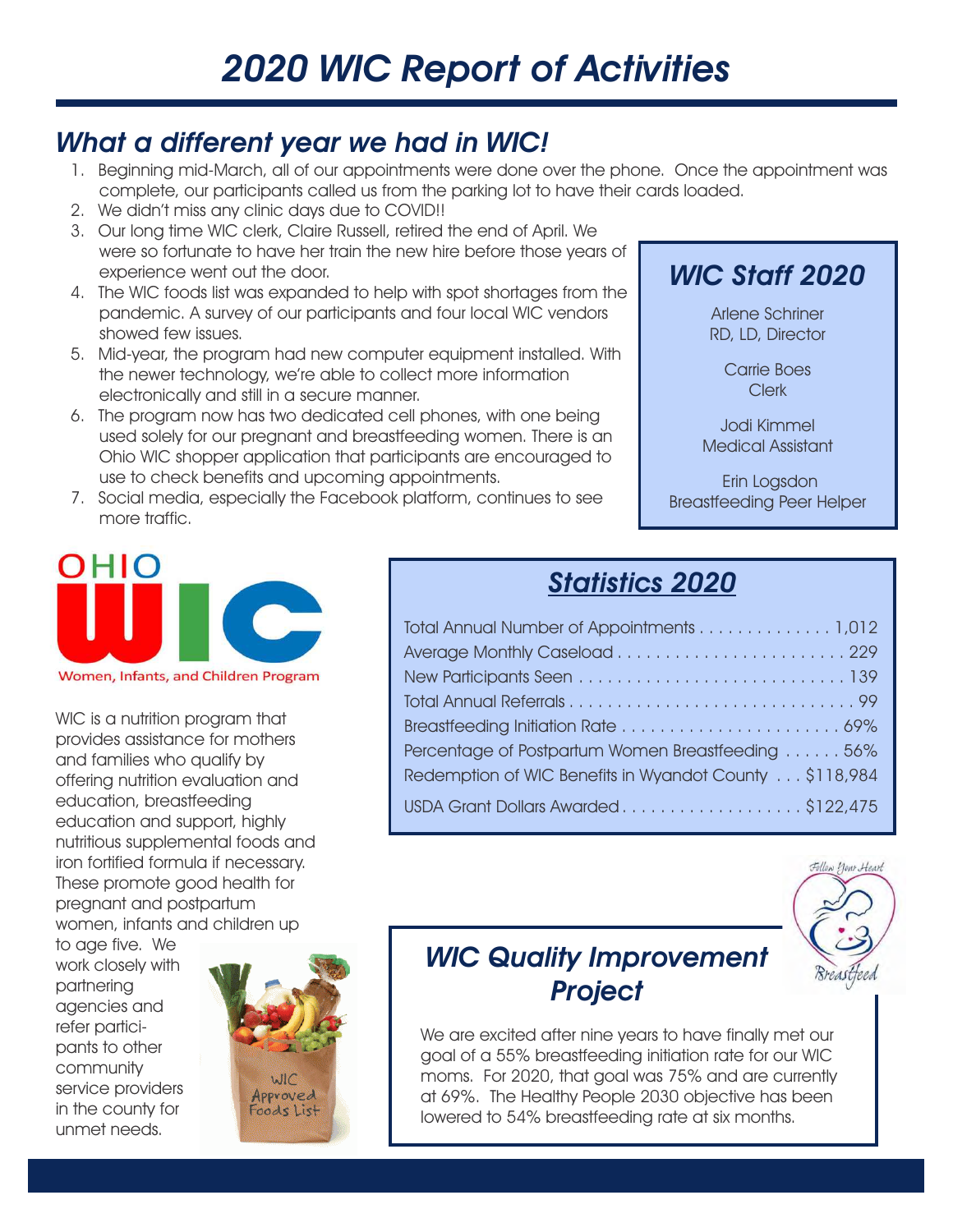# 2020 WIC Report of Activities

#### What a different year we had in WIC!

- 1. Beginning mid-March, all of our appointments were done over the phone. Once the appointment was complete, our participants called us from the parking lot to have their cards loaded.
- 2. We didn't miss any clinic days due to COVID!!
- 3. Our long time WIC clerk, Claire Russell, retired the end of April. We were so fortunate to have her train the new hire before those years of experience went out the door.
- 4. The WIC foods list was expanded to help with spot shortages from the pandemic. A survey of our participants and four local WIC vendors showed few issues.
- 5. Mid-year, the program had new computer equipment installed. With the newer technology, we're able to collect more information electronically and still in a secure manner.
- 6. The program now has two dedicated cell phones, with one being used solely for our pregnant and breastfeeding women. There is an Ohio WIC shopper application that participants are encouraged to use to check benefits and upcoming appointments.
- 7. Social media, especially the Facebook platform, continues to see more traffic.



Arlene Schriner RD, LD, Director

> Carrie Boes Clerk

Jodi Kimmel Medical Assistant

Breastfeeding Peer Helper Erin Logsdon



WIC is a nutrition program that provides assistance for mothers and families who qualify by offering nutrition evaluation and education, breastfeeding education and support, highly nutritious supplemental foods and iron fortified formula if necessary. These promote good health for pregnant and postpartum women, infants and children up

to age five. We work closely with partnering agencies and refer participants to other community service providers in the county for unmet needs.



### Statistics 2020

| Total Annual Number of Appointments 1,012              |
|--------------------------------------------------------|
|                                                        |
|                                                        |
|                                                        |
|                                                        |
| Percentage of Postpartum Women Breastfeeding 56%       |
| Redemption of WIC Benefits in Wyandot County \$118,984 |
| USDA Grant Dollars Awarded\$122,475                    |



### WIC Quality Improvement **Project**

We are excited after nine years to have finally met our goal of a 55% breastfeeding initiation rate for our WIC moms. For 2020, that goal was 75% and are currently at 69%. The Healthy People 2030 objective has been lowered to 54% breastfeeding rate at six months.